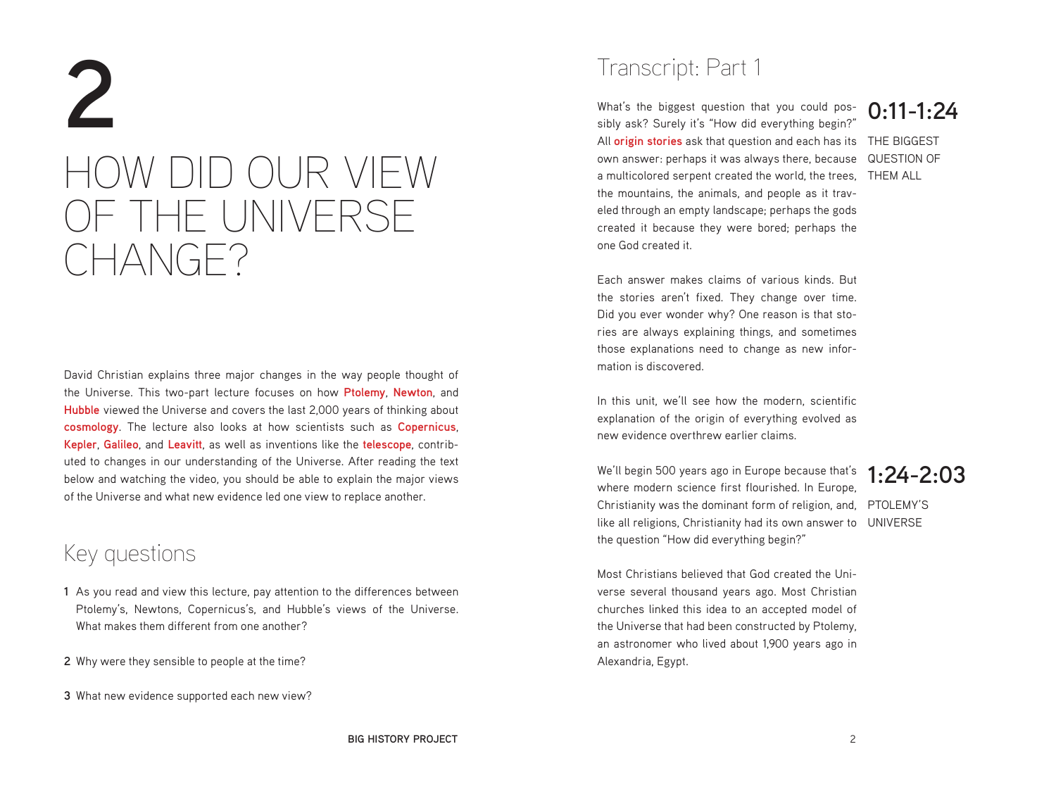# **2** HOW DID OUR VIEW OF THE UNIVERSE CHANGE?

David Christian explains three major changes in the way people thought of the Universe. This two-part lecture focuses on how **Ptolemy**, **Newton**, and **Hubble** viewed the Universe and covers the last 2,000 years of thinking about **cosmology**. The lecture also looks at how scientists such as **Copernicus**, **Kepler**, **Galileo**, and **Leavitt**, as well as inventions like the **telescope**, contributed to changes in our understanding of the Universe. After reading the text below and watching the video, you should be able to explain the major views of the Universe and what new evidence led one view to replace another.

### Key questions

- **1** As you read and view this lecture, pay attention to the differences between Ptolemy's, Newtons, Copernicus's, and Hubble's views of the Universe. What makes them different from one another?
- **2** Why were they sensible to people at the time?
- **3** What new evidence supported each new view?

### Transcript: Part 1

All **origin stories** ask that question and each has its THE BIGGEST own answer: perhaps it was always there, because QUESTION OF a multicolored serpent created the world, the trees, THEM ALL What's the biggest question that you could possibly ask? Surely it's "How did everything begin?" the mountains, the animals, and people as it traveled through an empty landscape; perhaps the gods created it because they were bored; perhaps the one God created it.

# **0:11-1:24**

Each answer makes claims of various kinds. But the stories aren't fixed. They change over time. Did you ever wonder why? One reason is that stories are always explaining things, and sometimes those explanations need to change as new information is discovered.

In this unit, we'll see how the modern, scientific explanation of the origin of everything evolved as new evidence overthrew earlier claims.

Christianity was the dominant form of religion, and, PTOLEMY'S like all religions, Christianity had its own answer to UNIVERSE We'll begin 500 years ago in Europe because that's where modern science first flourished. In Europe, the question "How did everything begin?"

### **1:24-2:03**

Most Christians believed that God created the Universe several thousand years ago. Most Christian churches linked this idea to an accepted model of the Universe that had been constructed by Ptolemy, an astronomer who lived about 1,900 years ago in Alexandria, Egypt.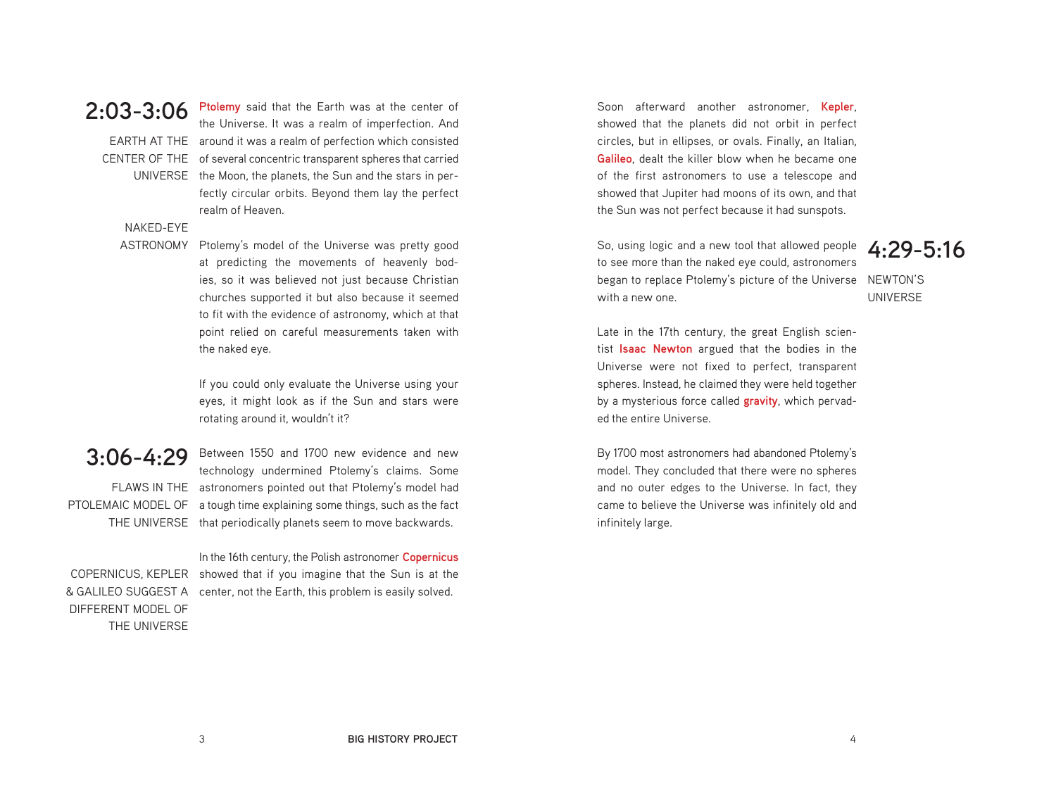### **2:03-3:06**

EARTH AT THE around it was a realm of perfection which consisted CENTER OF THE of several concentric transparent spheres that carried UNIVERSE the Moon, the planets, the Sun and the stars in perthe Universe. It was a realm of imperfection. And fectly circular orbits. Beyond them lay the perfect realm of Heaven.

**Ptolemy** said that the Earth was at the center of

### NAKED-EYE

ASTRONOMY Ptolemy's model of the Universe was pretty good at predicting the movements of heavenly bodies, so it was believed not just because Christian churches supported it but also because it seemed to fit with the evidence of astronomy, which at that point relied on careful measurements taken with the naked eye.

> If you could only evaluate the Universe using your eyes, it might look as if the Sun and stars were rotating around it, wouldn't it?

**3:06-4:29** Between 1550 and 1700 new evidence and new FLAWS IN THE astronomers pointed out that Ptolemy's model had PTOLEMAIC MODEL OF a tough time explaining some things, such as the fact THE UNIVERSE that periodically planets seem to move backwards. technology undermined Ptolemy's claims. Some

DIFFERENT MODEL OF THE UNIVERSE

COPERNICUS, KEPLER showed that if you imagine that the Sun is at the & GALILEO SUGGEST A center, not the Earth, this problem is easily solved. In the 16th century, the Polish astronomer **Copernicus**

Soon afterward another astronomer, **Kepler**, showed that the planets did not orbit in perfect circles, but in ellipses, or ovals. Finally, an Italian, **Galileo**, dealt the killer blow when he became one of the first astronomers to use a telescope and showed that Jupiter had moons of its own, and that the Sun was not perfect because it had sunspots.

began to replace Ptolemy's picture of the Universe NEWTON'S So, using logic and a new tool that allowed people to see more than the naked eye could, astronomers with a new one.

### **4:29-5:16**

UNIVERSE

Late in the 17th century, the great English scientist **Isaac Newton** argued that the bodies in the Universe were not fixed to perfect, transparent spheres. Instead, he claimed they were held together by a mysterious force called **gravity**, which pervaded the entire Universe.

By 1700 most astronomers had abandoned Ptolemy's model. They concluded that there were no spheres and no outer edges to the Universe. In fact, they came to believe the Universe was infinitely old and infinitely large.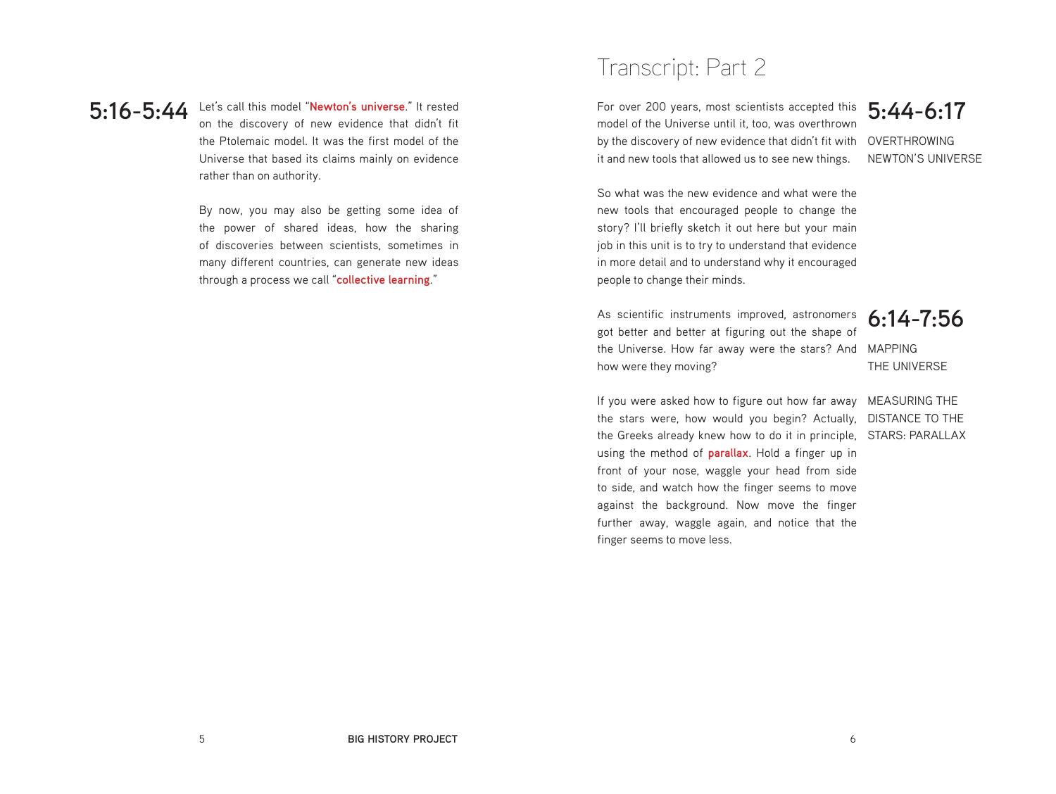**5:16-5:44** Let's call this model "**Newton's universe**." It rested on the discovery of new evidence that didn't fit the Ptolemaic model. It was the first model of the Universe that based its claims mainly on evidence rather than on authority.

> By now, you may also be getting some idea of the power of shared ideas, how the sharing of discoveries between scientists, sometimes in many different countries, can generate new ideas through a process we call "**collective learning**."

## Transcript: Part 2

For over 200 years, most scientists accepted this **5:44-6:17** by the discovery of new evidence that didn't fit with OVERTHROWING model of the Universe until it, too, was overthrown it and new tools that allowed us to see new things.

NEWTON'S UNIVERSE

So what was the new evidence and what were the new tools that encouraged people to change the story? I'll briefly sketch it out here but your main job in this unit is to try to understand that evidence in more detail and to understand why it encouraged people to change their minds.

the Universe. How far away were the stars? And MAPPING As scientific instruments improved, astronomers got better and better at figuring out the shape of how were they moving?

**6:14-7:56**

THE UNIVERSE

If you were asked how to figure out how far away MEASURING THE the stars were, how would you begin? Actually, DISTANCE TO THE the Greeks already knew how to do it in principle, STARS: PARALLAX using the method of **parallax**. Hold a finger up in front of your nose, waggle your head from side to side, and watch how the finger seems to move against the background. Now move the finger further away, waggle again, and notice that the finger seems to move less.